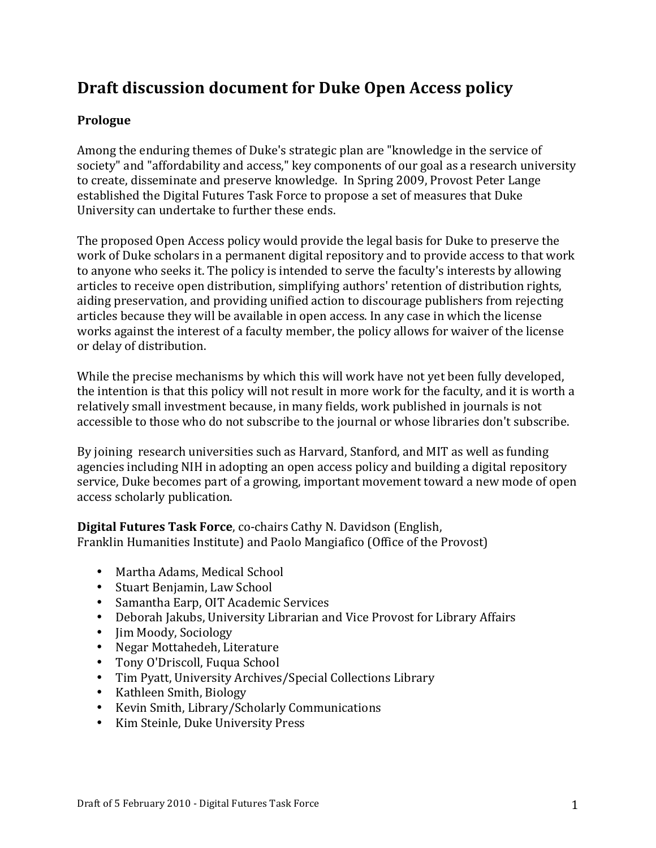# **Draft discussion document for Duke Open Access policy**

## **Prologue**

Among the enduring themes of Duke's strategic plan are "knowledge in the service of society" and "affordability and access," key components of our goal as a research university to create, disseminate and preserve knowledge. In Spring 2009, Provost Peter Lange established the Digital Futures Task Force to propose a set of measures that Duke University can undertake to further these ends.

The proposed Open Access policy would provide the legal basis for Duke to preserve the work of Duke scholars in a permanent digital repository and to provide access to that work to anyone who seeks it. The policy is intended to serve the faculty's interests by allowing articles to receive open distribution, simplifying authors' retention of distribution rights, aiding preservation, and providing unified action to discourage publishers from rejecting articles because they will be available in open access. In any case in which the license works against the interest of a faculty member, the policy allows for waiver of the license or delay of distribution.

While the precise mechanisms by which this will work have not yet been fully developed, the intention is that this policy will not result in more work for the faculty, and it is worth a relatively small investment because, in many fields, work published in journals is not accessible to those who do not subscribe to the journal or whose libraries don't subscribe.

By joining research universities such as Harvard, Stanford, and MIT as well as funding agencies including NIH in adopting an open access policy and building a digital repository service, Duke becomes part of a growing, important movement toward a new mode of open access scholarly publication.

**Digital Futures Task Force, co-chairs Cathy N. Davidson (English,** Franklin Humanities Institute) and Paolo Mangiafico (Office of the Provost)

- Martha Adams, Medical School
- Stuart Benjamin, Law School
- Samantha Earp, OIT Academic Services
- Deborah Jakubs, University Librarian and Vice Provost for Library Affairs
- Iim Moody, Sociology
- Negar Mottahedeh, Literature
- Tony O'Driscoll, Fuqua School
- Tim Pyatt, University Archives/Special Collections Library
- Kathleen Smith, Biology
- Kevin Smith, Library/Scholarly Communications
- Kim Steinle, Duke University Press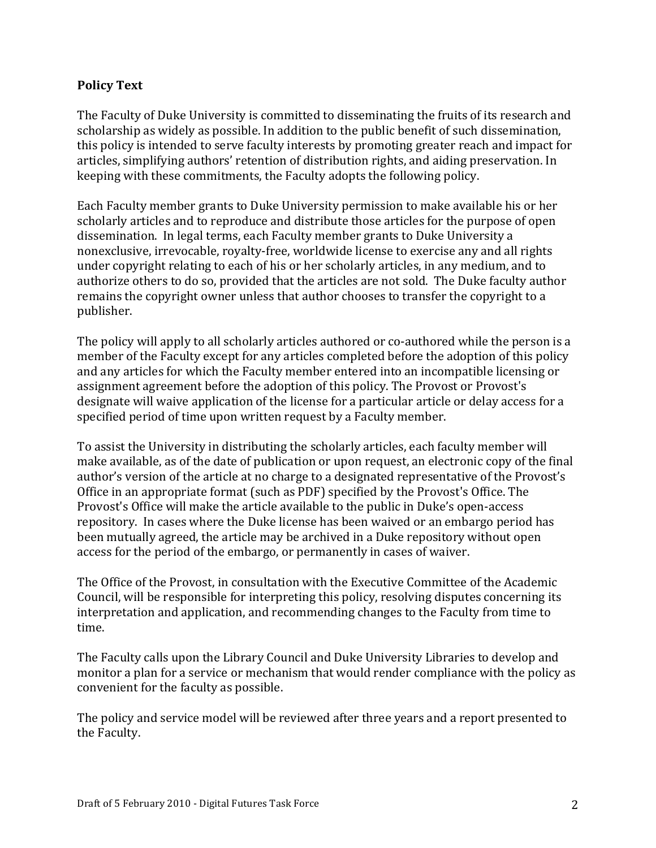### **Policy Text**

The Faculty of Duke University is committed to disseminating the fruits of its research and scholarship as widely as possible. In addition to the public benefit of such dissemination, this policy is intended to serve faculty interests by promoting greater reach and impact for articles, simplifying authors' retention of distribution rights, and aiding preservation. In keeping with these commitments, the Faculty adopts the following policy.

Each Faculty member grants to Duke University permission to make available his or her scholarly articles and to reproduce and distribute those articles for the purpose of open dissemination. In legal terms, each Faculty member grants to Duke University a nonexclusive, irrevocable, royalty-free, worldwide license to exercise any and all rights under copyright relating to each of his or her scholarly articles, in any medium, and to authorize others to do so, provided that the articles are not sold. The Duke faculty author remains the copyright owner unless that author chooses to transfer the copyright to a publisher.

The policy will apply to all scholarly articles authored or co-authored while the person is a member of the Faculty except for any articles completed before the adoption of this policy and any articles for which the Faculty member entered into an incompatible licensing or assignment agreement before the adoption of this policy. The Provost or Provost's designate will waive application of the license for a particular article or delay access for a specified period of time upon written request by a Faculty member.

To assist the University in distributing the scholarly articles, each faculty member will make available, as of the date of publication or upon request, an electronic copy of the final author's version of the article at no charge to a designated representative of the Provost's Office in an appropriate format (such as PDF) specified by the Provost's Office. The Provost's Office will make the article available to the public in Duke's open-access repository. In cases where the Duke license has been waived or an embargo period has been mutually agreed, the article may be archived in a Duke repository without open access for the period of the embargo, or permanently in cases of waiver.

The Office of the Provost, in consultation with the Executive Committee of the Academic Council, will be responsible for interpreting this policy, resolving disputes concerning its interpretation and application, and recommending changes to the Faculty from time to time.

The Faculty calls upon the Library Council and Duke University Libraries to develop and monitor a plan for a service or mechanism that would render compliance with the policy as convenient for the faculty as possible.

The policy and service model will be reviewed after three years and a report presented to the Faculty.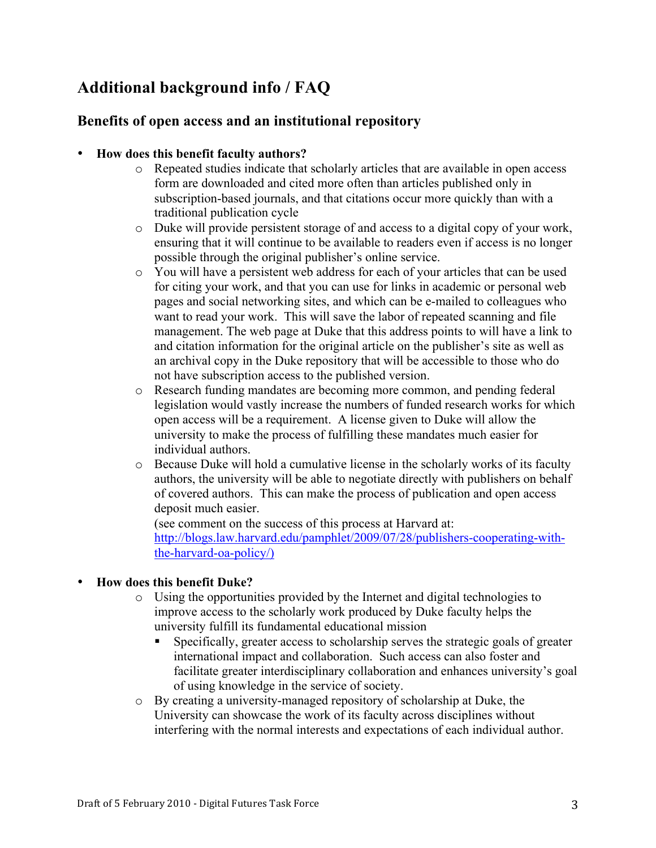# **Additional background info / FAQ**

## **Benefits of open access and an institutional repository**

## • **How does this benefit faculty authors?**

- o Repeated studies indicate that scholarly articles that are available in open access form are downloaded and cited more often than articles published only in subscription-based journals, and that citations occur more quickly than with a traditional publication cycle
- o Duke will provide persistent storage of and access to a digital copy of your work, ensuring that it will continue to be available to readers even if access is no longer possible through the original publisher's online service.
- o You will have a persistent web address for each of your articles that can be used for citing your work, and that you can use for links in academic or personal web pages and social networking sites, and which can be e-mailed to colleagues who want to read your work. This will save the labor of repeated scanning and file management. The web page at Duke that this address points to will have a link to and citation information for the original article on the publisher's site as well as an archival copy in the Duke repository that will be accessible to those who do not have subscription access to the published version.
- o Research funding mandates are becoming more common, and pending federal legislation would vastly increase the numbers of funded research works for which open access will be a requirement. A license given to Duke will allow the university to make the process of fulfilling these mandates much easier for individual authors.
- o Because Duke will hold a cumulative license in the scholarly works of its faculty authors, the university will be able to negotiate directly with publishers on behalf of covered authors. This can make the process of publication and open access deposit much easier.

(see comment on the success of this process at Harvard at: http://blogs.law.harvard.edu/pamphlet/2009/07/28/publishers-cooperating-withthe-harvard-oa-policy/)

### • **How does this benefit Duke?**

- o Using the opportunities provided by the Internet and digital technologies to improve access to the scholarly work produced by Duke faculty helps the university fulfill its fundamental educational mission
	- Specifically, greater access to scholarship serves the strategic goals of greater international impact and collaboration. Such access can also foster and facilitate greater interdisciplinary collaboration and enhances university's goal of using knowledge in the service of society.
- o By creating a university-managed repository of scholarship at Duke, the University can showcase the work of its faculty across disciplines without interfering with the normal interests and expectations of each individual author.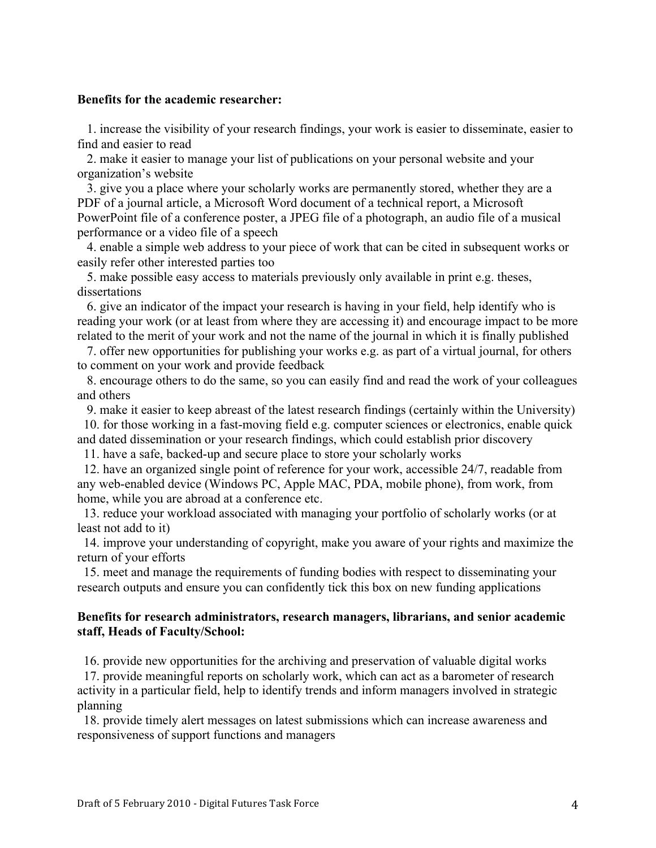#### **Benefits for the academic researcher:**

 1. increase the visibility of your research findings, your work is easier to disseminate, easier to find and easier to read

 2. make it easier to manage your list of publications on your personal website and your organization's website

 3. give you a place where your scholarly works are permanently stored, whether they are a PDF of a journal article, a Microsoft Word document of a technical report, a Microsoft PowerPoint file of a conference poster, a JPEG file of a photograph, an audio file of a musical performance or a video file of a speech

 4. enable a simple web address to your piece of work that can be cited in subsequent works or easily refer other interested parties too

 5. make possible easy access to materials previously only available in print e.g. theses, dissertations

 6. give an indicator of the impact your research is having in your field, help identify who is reading your work (or at least from where they are accessing it) and encourage impact to be more related to the merit of your work and not the name of the journal in which it is finally published

 7. offer new opportunities for publishing your works e.g. as part of a virtual journal, for others to comment on your work and provide feedback

 8. encourage others to do the same, so you can easily find and read the work of your colleagues and others

9. make it easier to keep abreast of the latest research findings (certainly within the University)

 10. for those working in a fast-moving field e.g. computer sciences or electronics, enable quick and dated dissemination or your research findings, which could establish prior discovery

11. have a safe, backed-up and secure place to store your scholarly works

 12. have an organized single point of reference for your work, accessible 24/7, readable from any web-enabled device (Windows PC, Apple MAC, PDA, mobile phone), from work, from home, while you are abroad at a conference etc.

 13. reduce your workload associated with managing your portfolio of scholarly works (or at least not add to it)

 14. improve your understanding of copyright, make you aware of your rights and maximize the return of your efforts

 15. meet and manage the requirements of funding bodies with respect to disseminating your research outputs and ensure you can confidently tick this box on new funding applications

#### **Benefits for research administrators, research managers, librarians, and senior academic staff, Heads of Faculty/School:**

16. provide new opportunities for the archiving and preservation of valuable digital works

 17. provide meaningful reports on scholarly work, which can act as a barometer of research activity in a particular field, help to identify trends and inform managers involved in strategic planning

 18. provide timely alert messages on latest submissions which can increase awareness and responsiveness of support functions and managers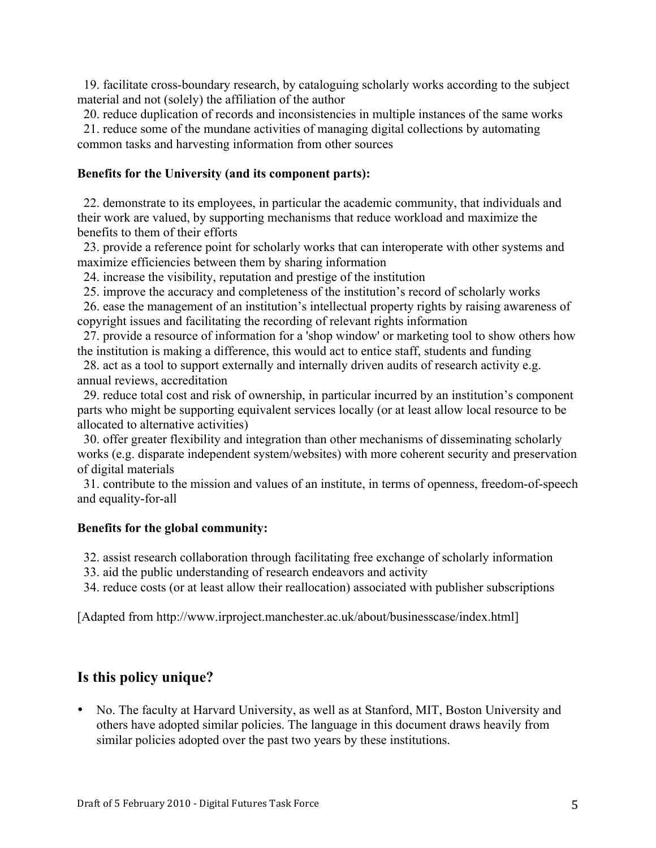19. facilitate cross-boundary research, by cataloguing scholarly works according to the subject material and not (solely) the affiliation of the author

20. reduce duplication of records and inconsistencies in multiple instances of the same works

 21. reduce some of the mundane activities of managing digital collections by automating common tasks and harvesting information from other sources

### **Benefits for the University (and its component parts):**

 22. demonstrate to its employees, in particular the academic community, that individuals and their work are valued, by supporting mechanisms that reduce workload and maximize the benefits to them of their efforts

 23. provide a reference point for scholarly works that can interoperate with other systems and maximize efficiencies between them by sharing information

24. increase the visibility, reputation and prestige of the institution

25. improve the accuracy and completeness of the institution's record of scholarly works

 26. ease the management of an institution's intellectual property rights by raising awareness of copyright issues and facilitating the recording of relevant rights information

 27. provide a resource of information for a 'shop window' or marketing tool to show others how the institution is making a difference, this would act to entice staff, students and funding

 28. act as a tool to support externally and internally driven audits of research activity e.g. annual reviews, accreditation

 29. reduce total cost and risk of ownership, in particular incurred by an institution's component parts who might be supporting equivalent services locally (or at least allow local resource to be allocated to alternative activities)

 30. offer greater flexibility and integration than other mechanisms of disseminating scholarly works (e.g. disparate independent system/websites) with more coherent security and preservation of digital materials

 31. contribute to the mission and values of an institute, in terms of openness, freedom-of-speech and equality-for-all

## **Benefits for the global community:**

32. assist research collaboration through facilitating free exchange of scholarly information

33. aid the public understanding of research endeavors and activity

34. reduce costs (or at least allow their reallocation) associated with publisher subscriptions

[Adapted from http://www.irproject.manchester.ac.uk/about/businesscase/index.html]

## **Is this policy unique?**

• No. The faculty at Harvard University, as well as at Stanford, MIT, Boston University and others have adopted similar policies. The language in this document draws heavily from similar policies adopted over the past two years by these institutions.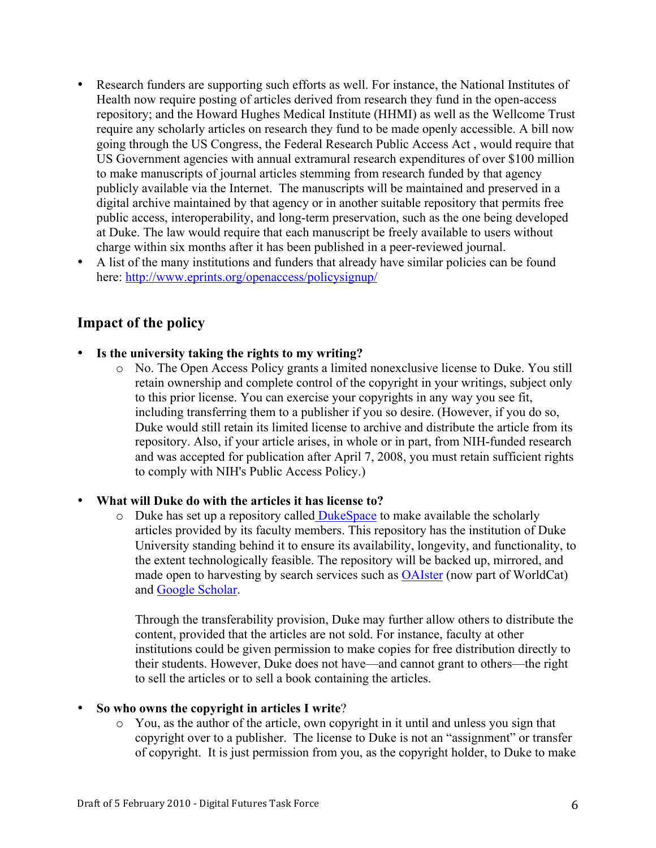- Research funders are supporting such efforts as well. For instance, the National Institutes of Health now require posting of articles derived from research they fund in the open-access repository; and the Howard Hughes Medical Institute (HHMI) as well as the Wellcome Trust require any scholarly articles on research they fund to be made openly accessible. A bill now going through the US Congress, the Federal Research Public Access Act , would require that US Government agencies with annual extramural research expenditures of over \$100 million to make manuscripts of journal articles stemming from research funded by that agency publicly available via the Internet. The manuscripts will be maintained and preserved in a digital archive maintained by that agency or in another suitable repository that permits free public access, interoperability, and long-term preservation, such as the one being developed at Duke. The law would require that each manuscript be freely available to users without charge within six months after it has been published in a peer-reviewed journal.
- A list of the many institutions and funders that already have similar policies can be found here: http://www.eprints.org/openaccess/policysignup/

## **Impact of the policy**

- **Is the university taking the rights to my writing?** 
	- o No. The Open Access Policy grants a limited nonexclusive license to Duke. You still retain ownership and complete control of the copyright in your writings, subject only to this prior license. You can exercise your copyrights in any way you see fit, including transferring them to a publisher if you so desire. (However, if you do so, Duke would still retain its limited license to archive and distribute the article from its repository. Also, if your article arises, in whole or in part, from NIH-funded research and was accepted for publication after April 7, 2008, you must retain sufficient rights to comply with NIH's Public Access Policy.)

### • **What will Duke do with the articles it has license to?**

 $\circ$  Duke has set up a repository called DukeSpace to make available the scholarly articles provided by its faculty members. This repository has the institution of Duke University standing behind it to ensure its availability, longevity, and functionality, to the extent technologically feasible. The repository will be backed up, mirrored, and made open to harvesting by search services such as **OAIster** (now part of WorldCat) and Google Scholar.

Through the transferability provision, Duke may further allow others to distribute the content, provided that the articles are not sold. For instance, faculty at other institutions could be given permission to make copies for free distribution directly to their students. However, Duke does not have—and cannot grant to others—the right to sell the articles or to sell a book containing the articles.

#### • **So who owns the copyright in articles I write**?

 $\circ$  You, as the author of the article, own copyright in it until and unless you sign that copyright over to a publisher. The license to Duke is not an "assignment" or transfer of copyright. It is just permission from you, as the copyright holder, to Duke to make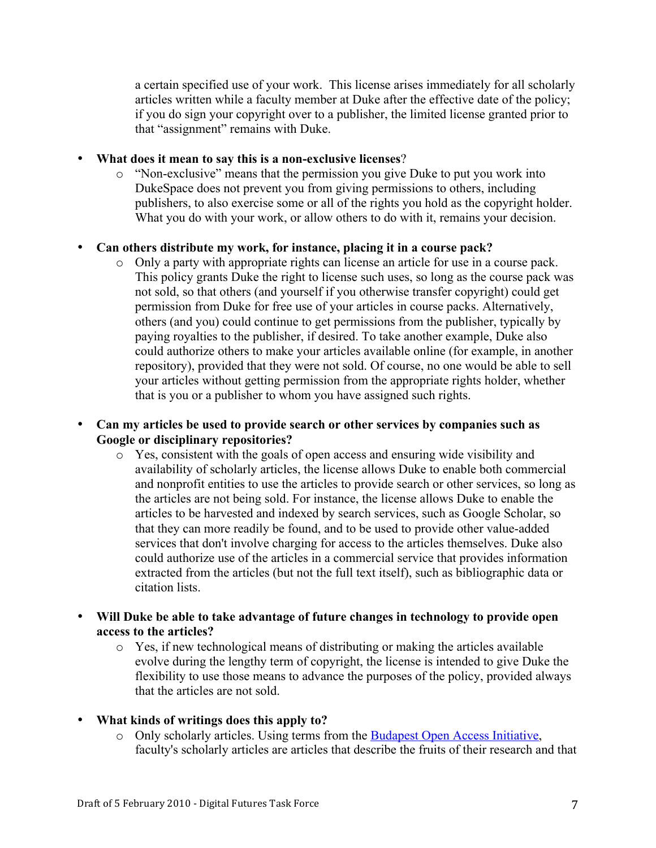a certain specified use of your work. This license arises immediately for all scholarly articles written while a faculty member at Duke after the effective date of the policy; if you do sign your copyright over to a publisher, the limited license granted prior to that "assignment" remains with Duke.

#### • **What does it mean to say this is a non-exclusive licenses**?

o "Non-exclusive" means that the permission you give Duke to put you work into DukeSpace does not prevent you from giving permissions to others, including publishers, to also exercise some or all of the rights you hold as the copyright holder. What you do with your work, or allow others to do with it, remains your decision.

### • **Can others distribute my work, for instance, placing it in a course pack?**

o Only a party with appropriate rights can license an article for use in a course pack. This policy grants Duke the right to license such uses, so long as the course pack was not sold, so that others (and yourself if you otherwise transfer copyright) could get permission from Duke for free use of your articles in course packs. Alternatively, others (and you) could continue to get permissions from the publisher, typically by paying royalties to the publisher, if desired. To take another example, Duke also could authorize others to make your articles available online (for example, in another repository), provided that they were not sold. Of course, no one would be able to sell your articles without getting permission from the appropriate rights holder, whether that is you or a publisher to whom you have assigned such rights.

#### • **Can my articles be used to provide search or other services by companies such as Google or disciplinary repositories?**

- o Yes, consistent with the goals of open access and ensuring wide visibility and availability of scholarly articles, the license allows Duke to enable both commercial and nonprofit entities to use the articles to provide search or other services, so long as the articles are not being sold. For instance, the license allows Duke to enable the articles to be harvested and indexed by search services, such as Google Scholar, so that they can more readily be found, and to be used to provide other value-added services that don't involve charging for access to the articles themselves. Duke also could authorize use of the articles in a commercial service that provides information extracted from the articles (but not the full text itself), such as bibliographic data or citation lists.
- **Will Duke be able to take advantage of future changes in technology to provide open access to the articles?** 
	- o Yes, if new technological means of distributing or making the articles available evolve during the lengthy term of copyright, the license is intended to give Duke the flexibility to use those means to advance the purposes of the policy, provided always that the articles are not sold.

### • **What kinds of writings does this apply to?**

o Only scholarly articles. Using terms from the Budapest Open Access Initiative, faculty's scholarly articles are articles that describe the fruits of their research and that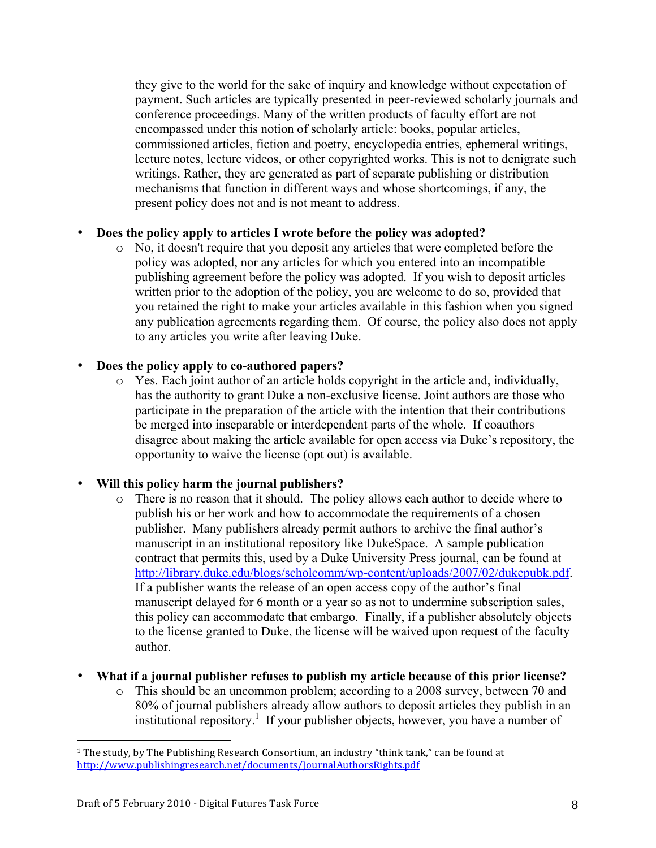they give to the world for the sake of inquiry and knowledge without expectation of payment. Such articles are typically presented in peer-reviewed scholarly journals and conference proceedings. Many of the written products of faculty effort are not encompassed under this notion of scholarly article: books, popular articles, commissioned articles, fiction and poetry, encyclopedia entries, ephemeral writings, lecture notes, lecture videos, or other copyrighted works. This is not to denigrate such writings. Rather, they are generated as part of separate publishing or distribution mechanisms that function in different ways and whose shortcomings, if any, the present policy does not and is not meant to address.

#### • **Does the policy apply to articles I wrote before the policy was adopted?**

o No, it doesn't require that you deposit any articles that were completed before the policy was adopted, nor any articles for which you entered into an incompatible publishing agreement before the policy was adopted. If you wish to deposit articles written prior to the adoption of the policy, you are welcome to do so, provided that you retained the right to make your articles available in this fashion when you signed any publication agreements regarding them. Of course, the policy also does not apply to any articles you write after leaving Duke.

### • **Does the policy apply to co-authored papers?**

 $\circ$  Yes. Each joint author of an article holds copyright in the article and, individually, has the authority to grant Duke a non-exclusive license. Joint authors are those who participate in the preparation of the article with the intention that their contributions be merged into inseparable or interdependent parts of the whole. If coauthors disagree about making the article available for open access via Duke's repository, the opportunity to waive the license (opt out) is available.

### • **Will this policy harm the journal publishers?**

- o There is no reason that it should. The policy allows each author to decide where to publish his or her work and how to accommodate the requirements of a chosen publisher. Many publishers already permit authors to archive the final author's manuscript in an institutional repository like DukeSpace. A sample publication contract that permits this, used by a Duke University Press journal, can be found at http://library.duke.edu/blogs/scholcomm/wp-content/uploads/2007/02/dukepubk.pdf. If a publisher wants the release of an open access copy of the author's final manuscript delayed for 6 month or a year so as not to undermine subscription sales, this policy can accommodate that embargo. Finally, if a publisher absolutely objects to the license granted to Duke, the license will be waived upon request of the faculty author.
- **What if a journal publisher refuses to publish my article because of this prior license?** 
	- o This should be an uncommon problem; according to a 2008 survey, between 70 and 80% of journal publishers already allow authors to deposit articles they publish in an institutional repository.<sup>1</sup> If your publisher objects, however, you have a number of

&&&&&&&&&&&&&&&&&&&&&&&&&&&&&&&&&&&&&&&&&&&&&&&&&&&&&&&

<sup>&</sup>lt;sup>1</sup> The study, by The Publishing Research Consortium, an industry "think tank," can be found at http://www.publishingresearch.net/documents/JournalAuthorsRights.pdf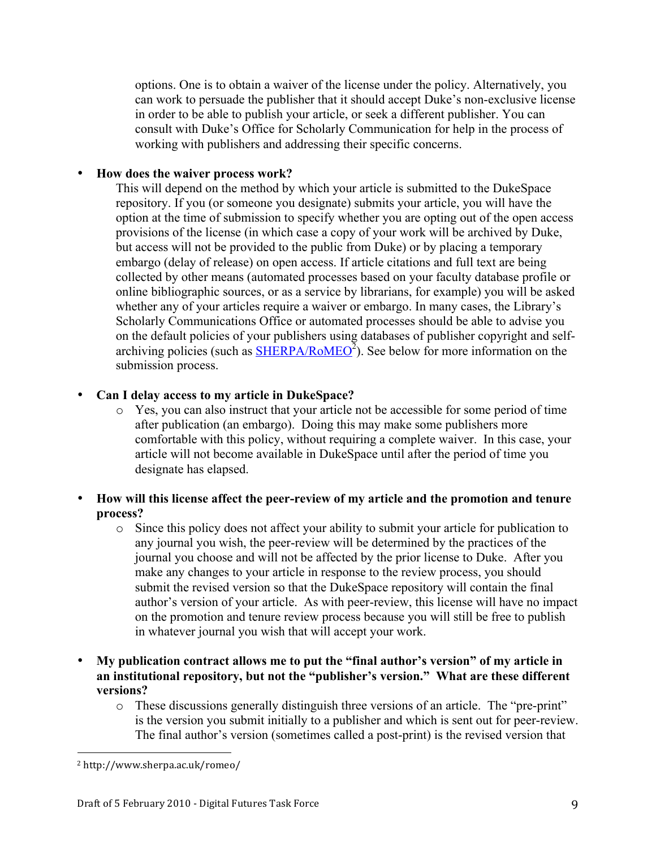options. One is to obtain a waiver of the license under the policy. Alternatively, you can work to persuade the publisher that it should accept Duke's non-exclusive license in order to be able to publish your article, or seek a different publisher. You can consult with Duke's Office for Scholarly Communication for help in the process of working with publishers and addressing their specific concerns.

#### • **How does the waiver process work?**

This will depend on the method by which your article is submitted to the DukeSpace repository. If you (or someone you designate) submits your article, you will have the option at the time of submission to specify whether you are opting out of the open access provisions of the license (in which case a copy of your work will be archived by Duke, but access will not be provided to the public from Duke) or by placing a temporary embargo (delay of release) on open access. If article citations and full text are being collected by other means (automated processes based on your faculty database profile or online bibliographic sources, or as a service by librarians, for example) you will be asked whether any of your articles require a waiver or embargo. In many cases, the Library's Scholarly Communications Office or automated processes should be able to advise you on the default policies of your publishers using databases of publisher copyright and selfarchiving policies (such as  $\overline{\text{SHERPA/RoMEO}}^2$ ). See below for more information on the submission process.

#### • **Can I delay access to my article in DukeSpace?**

o Yes, you can also instruct that your article not be accessible for some period of time after publication (an embargo). Doing this may make some publishers more comfortable with this policy, without requiring a complete waiver. In this case, your article will not become available in DukeSpace until after the period of time you designate has elapsed.

#### • **How will this license affect the peer-review of my article and the promotion and tenure process?**

- o Since this policy does not affect your ability to submit your article for publication to any journal you wish, the peer-review will be determined by the practices of the journal you choose and will not be affected by the prior license to Duke. After you make any changes to your article in response to the review process, you should submit the revised version so that the DukeSpace repository will contain the final author's version of your article. As with peer-review, this license will have no impact on the promotion and tenure review process because you will still be free to publish in whatever journal you wish that will accept your work.
- **My publication contract allows me to put the "final author's version" of my article in an institutional repository, but not the "publisher's version." What are these different versions?**
	- o These discussions generally distinguish three versions of an article. The "pre-print" is the version you submit initially to a publisher and which is sent out for peer-review. The final author's version (sometimes called a post-print) is the revised version that

<sup>&</sup>amp;&&&&&&&&&&&&&&&&&&&&&&&&&&&&&&&&&&&&&&&&&&&&&&&&&&&&&& <sup>2</sup> http://www.sherpa.ac.uk/romeo/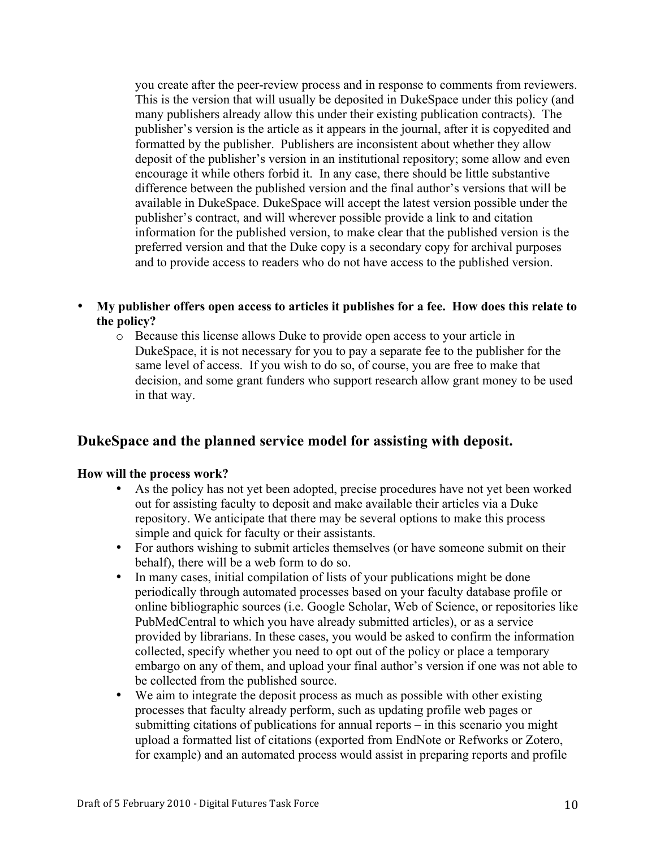you create after the peer-review process and in response to comments from reviewers. This is the version that will usually be deposited in DukeSpace under this policy (and many publishers already allow this under their existing publication contracts). The publisher's version is the article as it appears in the journal, after it is copyedited and formatted by the publisher. Publishers are inconsistent about whether they allow deposit of the publisher's version in an institutional repository; some allow and even encourage it while others forbid it. In any case, there should be little substantive difference between the published version and the final author's versions that will be available in DukeSpace. DukeSpace will accept the latest version possible under the publisher's contract, and will wherever possible provide a link to and citation information for the published version, to make clear that the published version is the preferred version and that the Duke copy is a secondary copy for archival purposes and to provide access to readers who do not have access to the published version.

- **My publisher offers open access to articles it publishes for a fee. How does this relate to the policy?**
	- o Because this license allows Duke to provide open access to your article in DukeSpace, it is not necessary for you to pay a separate fee to the publisher for the same level of access. If you wish to do so, of course, you are free to make that decision, and some grant funders who support research allow grant money to be used in that way.

## **DukeSpace and the planned service model for assisting with deposit.**

#### **How will the process work?**

- As the policy has not yet been adopted, precise procedures have not yet been worked out for assisting faculty to deposit and make available their articles via a Duke repository. We anticipate that there may be several options to make this process simple and quick for faculty or their assistants.
- For authors wishing to submit articles themselves (or have someone submit on their behalf), there will be a web form to do so.
- In many cases, initial compilation of lists of your publications might be done periodically through automated processes based on your faculty database profile or online bibliographic sources (i.e. Google Scholar, Web of Science, or repositories like PubMedCentral to which you have already submitted articles), or as a service provided by librarians. In these cases, you would be asked to confirm the information collected, specify whether you need to opt out of the policy or place a temporary embargo on any of them, and upload your final author's version if one was not able to be collected from the published source.
- We aim to integrate the deposit process as much as possible with other existing processes that faculty already perform, such as updating profile web pages or submitting citations of publications for annual reports – in this scenario you might upload a formatted list of citations (exported from EndNote or Refworks or Zotero, for example) and an automated process would assist in preparing reports and profile